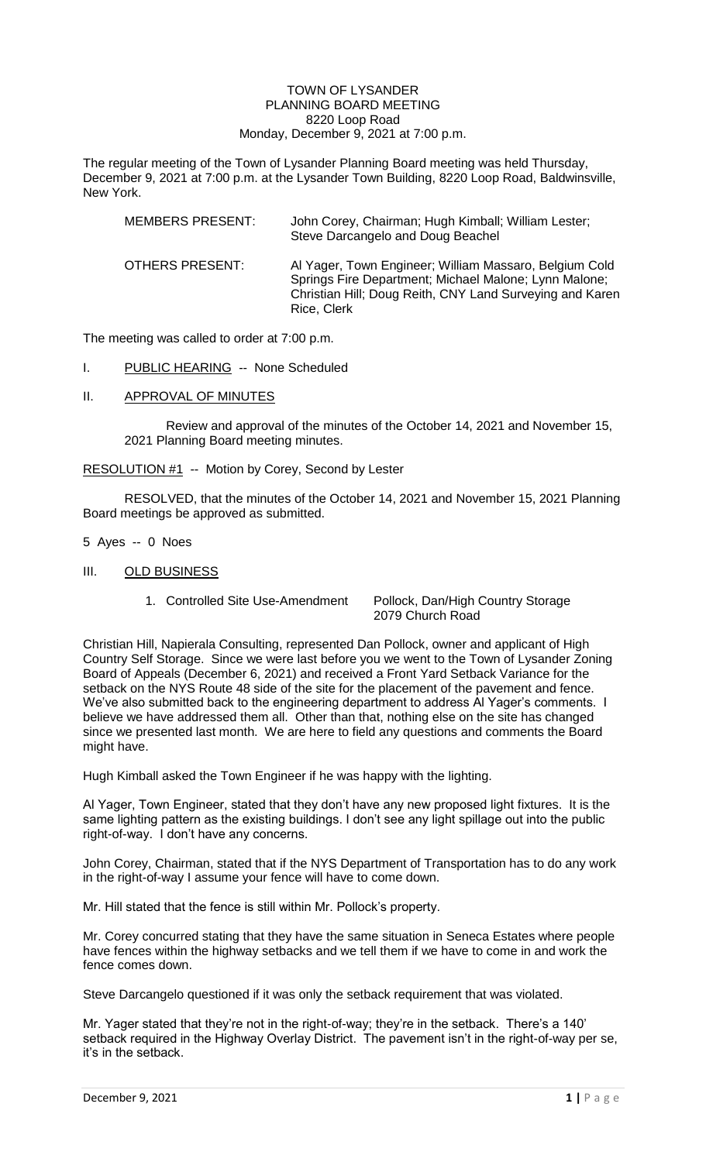#### TOWN OF LYSANDER PLANNING BOARD MEETING 8220 Loop Road Monday, December 9, 2021 at 7:00 p.m.

The regular meeting of the Town of Lysander Planning Board meeting was held Thursday, December 9, 2021 at 7:00 p.m. at the Lysander Town Building, 8220 Loop Road, Baldwinsville, New York.

| <b>MEMBERS PRESENT:</b> | John Corey, Chairman; Hugh Kimball; William Lester;<br>Steve Darcangelo and Doug Beachel                                                                                                   |
|-------------------------|--------------------------------------------------------------------------------------------------------------------------------------------------------------------------------------------|
| OTHERS PRESENT:         | Al Yager, Town Engineer; William Massaro, Belgium Cold<br>Springs Fire Department; Michael Malone; Lynn Malone;<br>Christian Hill; Doug Reith, CNY Land Surveying and Karen<br>Rice, Clerk |

The meeting was called to order at 7:00 p.m.

- I. PUBLIC HEARING -- None Scheduled
- II. APPROVAL OF MINUTES

Review and approval of the minutes of the October 14, 2021 and November 15, 2021 Planning Board meeting minutes.

## RESOLUTION #1 -- Motion by Corey, Second by Lester

RESOLVED, that the minutes of the October 14, 2021 and November 15, 2021 Planning Board meetings be approved as submitted.

- 5 Ayes -- 0 Noes
- III. OLD BUSINESS
	-

1. Controlled Site Use-Amendment Pollock, Dan/High Country Storage 2079 Church Road

Christian Hill, Napierala Consulting, represented Dan Pollock, owner and applicant of High Country Self Storage. Since we were last before you we went to the Town of Lysander Zoning Board of Appeals (December 6, 2021) and received a Front Yard Setback Variance for the setback on the NYS Route 48 side of the site for the placement of the pavement and fence. We've also submitted back to the engineering department to address Al Yager's comments. I believe we have addressed them all. Other than that, nothing else on the site has changed since we presented last month. We are here to field any questions and comments the Board might have.

Hugh Kimball asked the Town Engineer if he was happy with the lighting.

Al Yager, Town Engineer, stated that they don't have any new proposed light fixtures. It is the same lighting pattern as the existing buildings. I don't see any light spillage out into the public right-of-way. I don't have any concerns.

John Corey, Chairman, stated that if the NYS Department of Transportation has to do any work in the right-of-way I assume your fence will have to come down.

Mr. Hill stated that the fence is still within Mr. Pollock's property.

Mr. Corey concurred stating that they have the same situation in Seneca Estates where people have fences within the highway setbacks and we tell them if we have to come in and work the fence comes down.

Steve Darcangelo questioned if it was only the setback requirement that was violated.

Mr. Yager stated that they're not in the right-of-way; they're in the setback. There's a 140' setback required in the Highway Overlay District. The pavement isn't in the right-of-way per se, it's in the setback.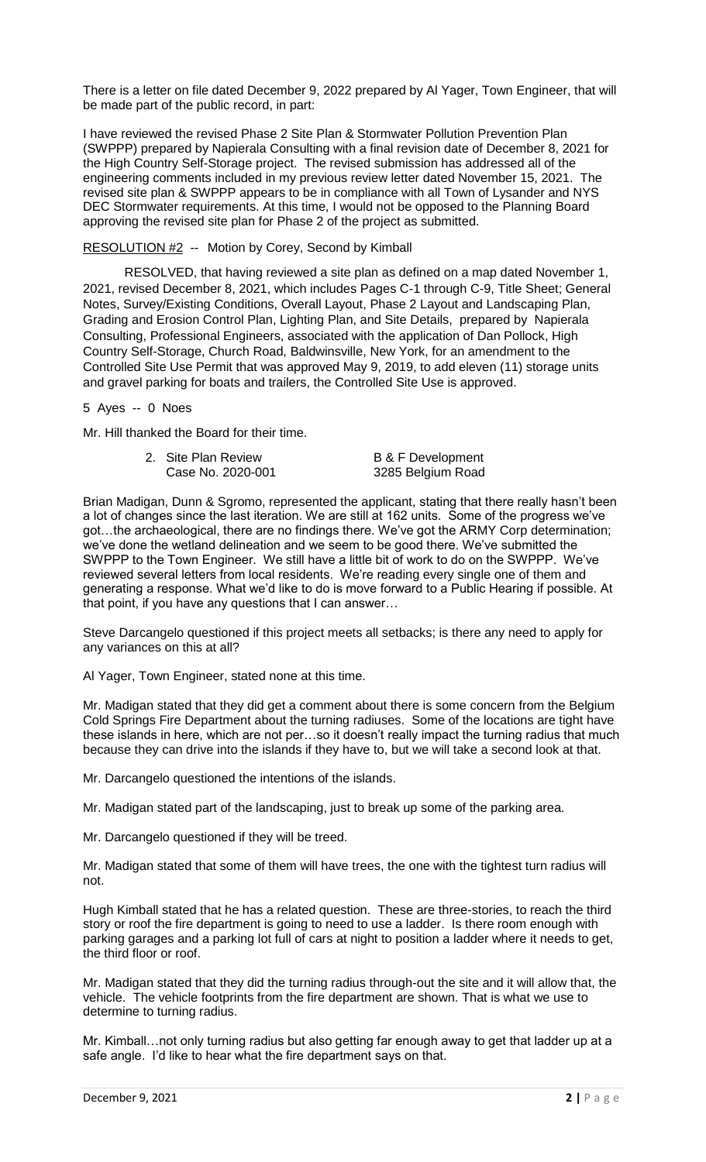There is a letter on file dated December 9, 2022 prepared by Al Yager, Town Engineer, that will be made part of the public record, in part:

I have reviewed the revised Phase 2 Site Plan & Stormwater Pollution Prevention Plan (SWPPP) prepared by Napierala Consulting with a final revision date of December 8, 2021 for the High Country Self-Storage project. The revised submission has addressed all of the engineering comments included in my previous review letter dated November 15, 2021. The revised site plan & SWPPP appears to be in compliance with all Town of Lysander and NYS DEC Stormwater requirements. At this time, I would not be opposed to the Planning Board approving the revised site plan for Phase 2 of the project as submitted.

## RESOLUTION #2-- Motion by Corey, Second by Kimball

RESOLVED, that having reviewed a site plan as defined on a map dated November 1, 2021, revised December 8, 2021, which includes Pages C-1 through C-9, Title Sheet; General Notes, Survey/Existing Conditions, Overall Layout, Phase 2 Layout and Landscaping Plan, Grading and Erosion Control Plan, Lighting Plan, and Site Details, prepared by Napierala Consulting, Professional Engineers, associated with the application of Dan Pollock, High Country Self-Storage, Church Road, Baldwinsville, New York, for an amendment to the Controlled Site Use Permit that was approved May 9, 2019, to add eleven (11) storage units and gravel parking for boats and trailers, the Controlled Site Use is approved.

5 Ayes -- 0 Noes

Mr. Hill thanked the Board for their time.

| 2. Site Plan Review | <b>B &amp; F Development</b> |
|---------------------|------------------------------|
| Case No. 2020-001   | 3285 Belgium Road            |

Brian Madigan, Dunn & Sgromo, represented the applicant, stating that there really hasn't been a lot of changes since the last iteration. We are still at 162 units. Some of the progress we've got…the archaeological, there are no findings there. We've got the ARMY Corp determination; we've done the wetland delineation and we seem to be good there. We've submitted the SWPPP to the Town Engineer. We still have a little bit of work to do on the SWPPP. We've reviewed several letters from local residents. We're reading every single one of them and generating a response. What we'd like to do is move forward to a Public Hearing if possible. At that point, if you have any questions that I can answer…

Steve Darcangelo questioned if this project meets all setbacks; is there any need to apply for any variances on this at all?

Al Yager, Town Engineer, stated none at this time.

Mr. Madigan stated that they did get a comment about there is some concern from the Belgium Cold Springs Fire Department about the turning radiuses. Some of the locations are tight have these islands in here, which are not per…so it doesn't really impact the turning radius that much because they can drive into the islands if they have to, but we will take a second look at that.

Mr. Darcangelo questioned the intentions of the islands.

Mr. Madigan stated part of the landscaping, just to break up some of the parking area.

Mr. Darcangelo questioned if they will be treed.

Mr. Madigan stated that some of them will have trees, the one with the tightest turn radius will not.

Hugh Kimball stated that he has a related question. These are three-stories, to reach the third story or roof the fire department is going to need to use a ladder. Is there room enough with parking garages and a parking lot full of cars at night to position a ladder where it needs to get, the third floor or roof.

Mr. Madigan stated that they did the turning radius through-out the site and it will allow that, the vehicle. The vehicle footprints from the fire department are shown. That is what we use to determine to turning radius.

Mr. Kimball…not only turning radius but also getting far enough away to get that ladder up at a safe angle. I'd like to hear what the fire department says on that.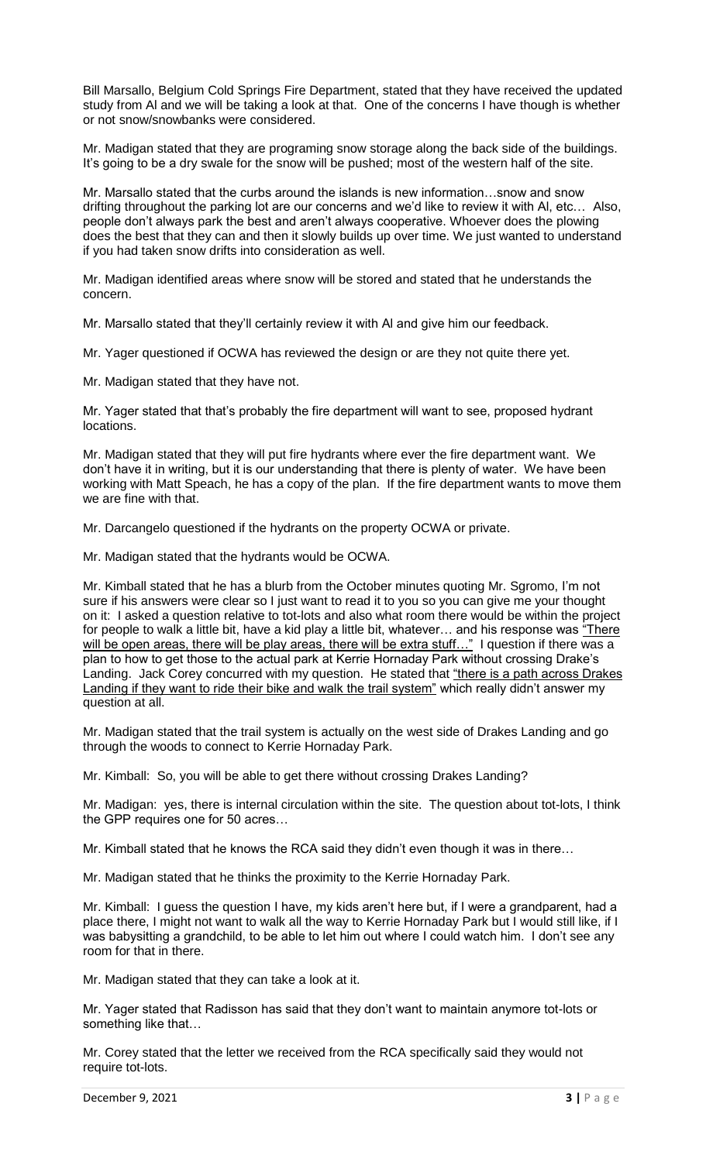Bill Marsallo, Belgium Cold Springs Fire Department, stated that they have received the updated study from Al and we will be taking a look at that. One of the concerns I have though is whether or not snow/snowbanks were considered.

Mr. Madigan stated that they are programing snow storage along the back side of the buildings. It's going to be a dry swale for the snow will be pushed; most of the western half of the site.

Mr. Marsallo stated that the curbs around the islands is new information…snow and snow drifting throughout the parking lot are our concerns and we'd like to review it with Al, etc… Also, people don't always park the best and aren't always cooperative. Whoever does the plowing does the best that they can and then it slowly builds up over time. We just wanted to understand if you had taken snow drifts into consideration as well.

Mr. Madigan identified areas where snow will be stored and stated that he understands the concern.

Mr. Marsallo stated that they'll certainly review it with Al and give him our feedback.

Mr. Yager questioned if OCWA has reviewed the design or are they not quite there yet.

Mr. Madigan stated that they have not.

Mr. Yager stated that that's probably the fire department will want to see, proposed hydrant locations.

Mr. Madigan stated that they will put fire hydrants where ever the fire department want. We don't have it in writing, but it is our understanding that there is plenty of water. We have been working with Matt Speach, he has a copy of the plan. If the fire department wants to move them we are fine with that.

Mr. Darcangelo questioned if the hydrants on the property OCWA or private.

Mr. Madigan stated that the hydrants would be OCWA.

Mr. Kimball stated that he has a blurb from the October minutes quoting Mr. Sgromo, I'm not sure if his answers were clear so I just want to read it to you so you can give me your thought on it: I asked a question relative to tot-lots and also what room there would be within the project for people to walk a little bit, have a kid play a little bit, whatever... and his response was "There will be open areas, there will be play areas, there will be extra stuff..." I question if there was a plan to how to get those to the actual park at Kerrie Hornaday Park without crossing Drake's Landing. Jack Corey concurred with my question. He stated that "there is a path across Drakes Landing if they want to ride their bike and walk the trail system" which really didn't answer my question at all.

Mr. Madigan stated that the trail system is actually on the west side of Drakes Landing and go through the woods to connect to Kerrie Hornaday Park.

Mr. Kimball: So, you will be able to get there without crossing Drakes Landing?

Mr. Madigan: yes, there is internal circulation within the site. The question about tot-lots, I think the GPP requires one for 50 acres…

Mr. Kimball stated that he knows the RCA said they didn't even though it was in there…

Mr. Madigan stated that he thinks the proximity to the Kerrie Hornaday Park.

Mr. Kimball: I guess the question I have, my kids aren't here but, if I were a grandparent, had a place there, I might not want to walk all the way to Kerrie Hornaday Park but I would still like, if I was babysitting a grandchild, to be able to let him out where I could watch him. I don't see any room for that in there.

Mr. Madigan stated that they can take a look at it.

Mr. Yager stated that Radisson has said that they don't want to maintain anymore tot-lots or something like that…

Mr. Corey stated that the letter we received from the RCA specifically said they would not require tot-lots.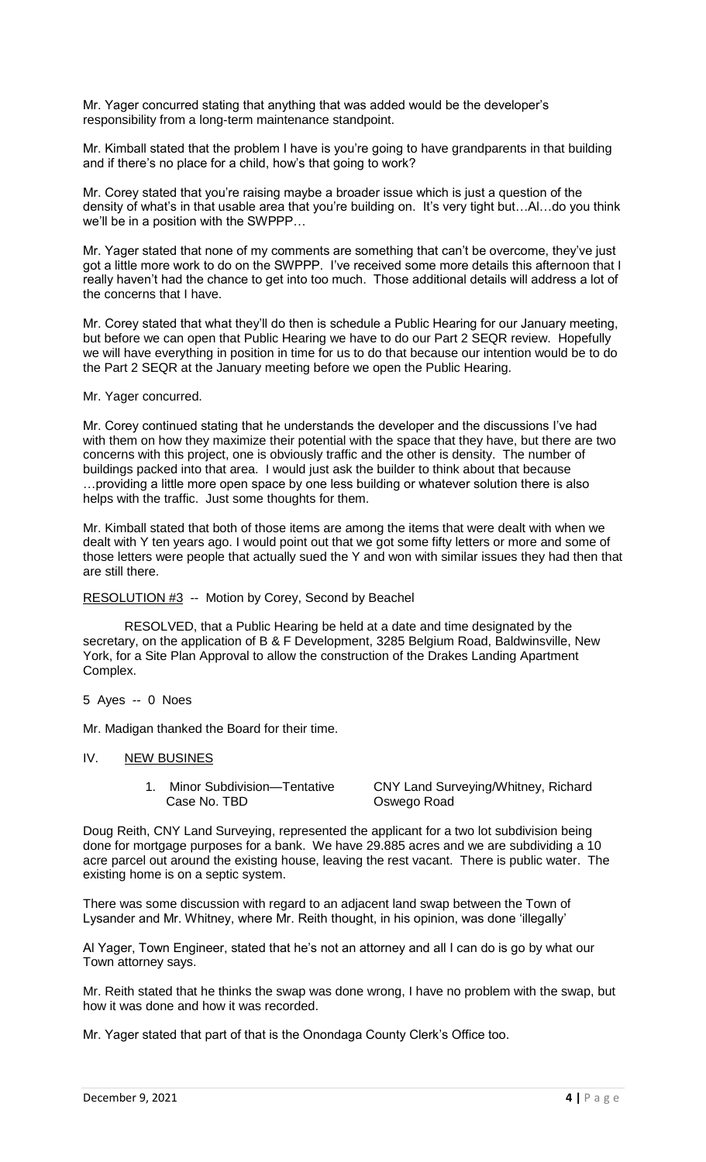Mr. Yager concurred stating that anything that was added would be the developer's responsibility from a long-term maintenance standpoint.

Mr. Kimball stated that the problem I have is you're going to have grandparents in that building and if there's no place for a child, how's that going to work?

Mr. Corey stated that you're raising maybe a broader issue which is just a question of the density of what's in that usable area that you're building on. It's very tight but…Al…do you think we'll be in a position with the SWPPP…

Mr. Yager stated that none of my comments are something that can't be overcome, they've just got a little more work to do on the SWPPP. I've received some more details this afternoon that I really haven't had the chance to get into too much. Those additional details will address a lot of the concerns that I have.

Mr. Corey stated that what they'll do then is schedule a Public Hearing for our January meeting, but before we can open that Public Hearing we have to do our Part 2 SEQR review. Hopefully we will have everything in position in time for us to do that because our intention would be to do the Part 2 SEQR at the January meeting before we open the Public Hearing.

#### Mr. Yager concurred.

Mr. Corey continued stating that he understands the developer and the discussions I've had with them on how they maximize their potential with the space that they have, but there are two concerns with this project, one is obviously traffic and the other is density. The number of buildings packed into that area. I would just ask the builder to think about that because …providing a little more open space by one less building or whatever solution there is also helps with the traffic. Just some thoughts for them.

Mr. Kimball stated that both of those items are among the items that were dealt with when we dealt with Y ten years ago. I would point out that we got some fifty letters or more and some of those letters were people that actually sued the Y and won with similar issues they had then that are still there.

#### RESOLUTION #3 -- Motion by Corey, Second by Beachel

RESOLVED, that a Public Hearing be held at a date and time designated by the secretary, on the application of B & F Development, 3285 Belgium Road, Baldwinsville, New York, for a Site Plan Approval to allow the construction of the Drakes Landing Apartment Complex.

#### 5 Ayes -- 0 Noes

Mr. Madigan thanked the Board for their time.

### IV. NEW BUSINES

Case No. TBD **Case No. TBD** Oswego Road

1. Minor Subdivision—Tentative CNY Land Surveying/Whitney, Richard

Doug Reith, CNY Land Surveying, represented the applicant for a two lot subdivision being done for mortgage purposes for a bank. We have 29.885 acres and we are subdividing a 10 acre parcel out around the existing house, leaving the rest vacant. There is public water. The existing home is on a septic system.

There was some discussion with regard to an adjacent land swap between the Town of Lysander and Mr. Whitney, where Mr. Reith thought, in his opinion, was done 'illegally'

Al Yager, Town Engineer, stated that he's not an attorney and all I can do is go by what our Town attorney says.

Mr. Reith stated that he thinks the swap was done wrong, I have no problem with the swap, but how it was done and how it was recorded.

Mr. Yager stated that part of that is the Onondaga County Clerk's Office too.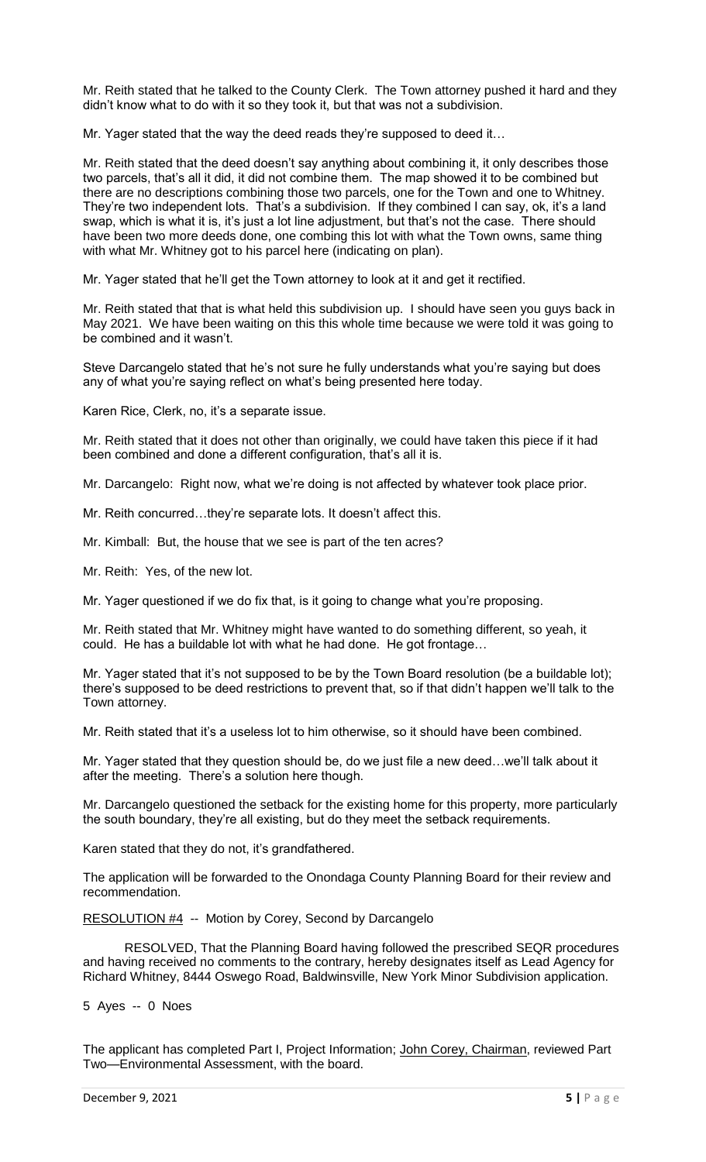Mr. Reith stated that he talked to the County Clerk. The Town attorney pushed it hard and they didn't know what to do with it so they took it, but that was not a subdivision.

Mr. Yager stated that the way the deed reads they're supposed to deed it…

Mr. Reith stated that the deed doesn't say anything about combining it, it only describes those two parcels, that's all it did, it did not combine them. The map showed it to be combined but there are no descriptions combining those two parcels, one for the Town and one to Whitney. They're two independent lots. That's a subdivision. If they combined I can say, ok, it's a land swap, which is what it is, it's just a lot line adjustment, but that's not the case. There should have been two more deeds done, one combing this lot with what the Town owns, same thing with what Mr. Whitney got to his parcel here (indicating on plan).

Mr. Yager stated that he'll get the Town attorney to look at it and get it rectified.

Mr. Reith stated that that is what held this subdivision up. I should have seen you guys back in May 2021. We have been waiting on this this whole time because we were told it was going to be combined and it wasn't.

Steve Darcangelo stated that he's not sure he fully understands what you're saying but does any of what you're saying reflect on what's being presented here today.

Karen Rice, Clerk, no, it's a separate issue.

Mr. Reith stated that it does not other than originally, we could have taken this piece if it had been combined and done a different configuration, that's all it is.

Mr. Darcangelo: Right now, what we're doing is not affected by whatever took place prior.

Mr. Reith concurred…they're separate lots. It doesn't affect this.

Mr. Kimball: But, the house that we see is part of the ten acres?

Mr. Reith: Yes, of the new lot.

Mr. Yager questioned if we do fix that, is it going to change what you're proposing.

Mr. Reith stated that Mr. Whitney might have wanted to do something different, so yeah, it could. He has a buildable lot with what he had done. He got frontage…

Mr. Yager stated that it's not supposed to be by the Town Board resolution (be a buildable lot); there's supposed to be deed restrictions to prevent that, so if that didn't happen we'll talk to the Town attorney.

Mr. Reith stated that it's a useless lot to him otherwise, so it should have been combined.

Mr. Yager stated that they question should be, do we just file a new deed…we'll talk about it after the meeting. There's a solution here though.

Mr. Darcangelo questioned the setback for the existing home for this property, more particularly the south boundary, they're all existing, but do they meet the setback requirements.

Karen stated that they do not, it's grandfathered.

The application will be forwarded to the Onondaga County Planning Board for their review and recommendation.

RESOLUTION #4 -- Motion by Corey, Second by Darcangelo

RESOLVED, That the Planning Board having followed the prescribed SEQR procedures and having received no comments to the contrary, hereby designates itself as Lead Agency for Richard Whitney, 8444 Oswego Road, Baldwinsville, New York Minor Subdivision application.

5 Ayes -- 0 Noes

The applicant has completed Part I, Project Information; John Corey, Chairman, reviewed Part Two—Environmental Assessment, with the board.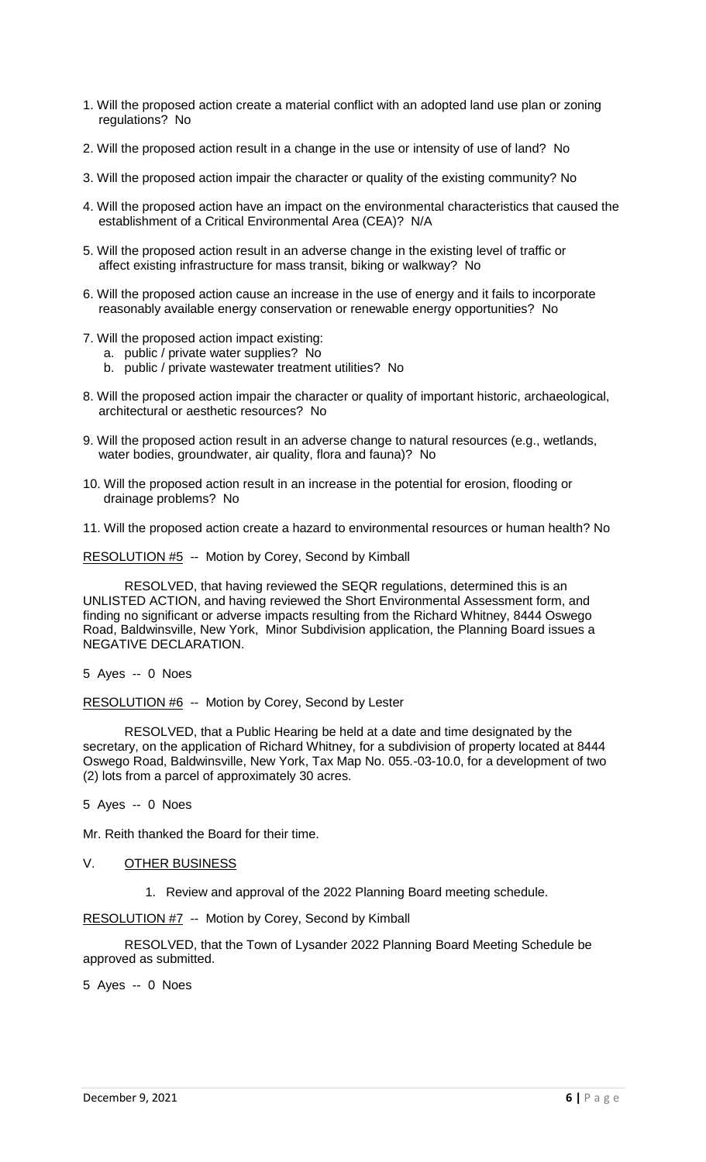- 1. Will the proposed action create a material conflict with an adopted land use plan or zoning regulations? No
- 2. Will the proposed action result in a change in the use or intensity of use of land? No
- 3. Will the proposed action impair the character or quality of the existing community? No
- 4. Will the proposed action have an impact on the environmental characteristics that caused the establishment of a Critical Environmental Area (CEA)? N/A
- 5. Will the proposed action result in an adverse change in the existing level of traffic or affect existing infrastructure for mass transit, biking or walkway? No
- 6. Will the proposed action cause an increase in the use of energy and it fails to incorporate reasonably available energy conservation or renewable energy opportunities? No
- 7. Will the proposed action impact existing:
	- a. public / private water supplies? No
	- b. public / private wastewater treatment utilities? No
- 8. Will the proposed action impair the character or quality of important historic, archaeological, architectural or aesthetic resources? No
- 9. Will the proposed action result in an adverse change to natural resources (e.g., wetlands, water bodies, groundwater, air quality, flora and fauna)? No
- 10. Will the proposed action result in an increase in the potential for erosion, flooding or drainage problems? No
- 11. Will the proposed action create a hazard to environmental resources or human health? No

RESOLUTION #5 -- Motion by Corey, Second by Kimball

RESOLVED, that having reviewed the SEQR regulations, determined this is an UNLISTED ACTION, and having reviewed the Short Environmental Assessment form, and finding no significant or adverse impacts resulting from the Richard Whitney, 8444 Oswego Road, Baldwinsville, New York, Minor Subdivision application, the Planning Board issues a NEGATIVE DECLARATION.

5 Ayes -- 0 Noes

RESOLUTION #6 -- Motion by Corey, Second by Lester

RESOLVED, that a Public Hearing be held at a date and time designated by the secretary, on the application of Richard Whitney, for a subdivision of property located at 8444 Oswego Road, Baldwinsville, New York, Tax Map No. 055.-03-10.0, for a development of two (2) lots from a parcel of approximately 30 acres.

5 Ayes -- 0 Noes

Mr. Reith thanked the Board for their time.

- V. OTHER BUSINESS
	- 1. Review and approval of the 2022 Planning Board meeting schedule.

RESOLUTION #7 -- Motion by Corey, Second by Kimball

RESOLVED, that the Town of Lysander 2022 Planning Board Meeting Schedule be approved as submitted.

5 Ayes -- 0 Noes